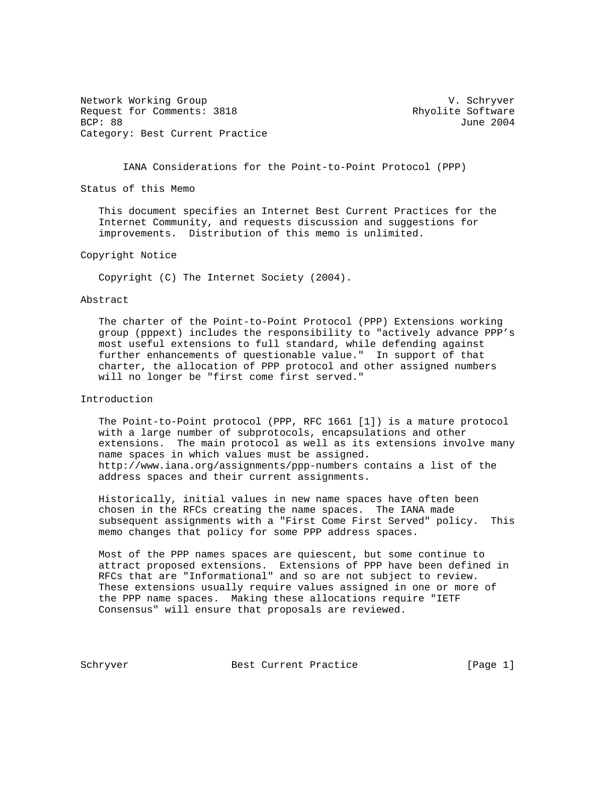Network Working Group and Working Group Communication of the V. Schryver Request for Comments: 3818 Rhyolite Software<br>BCP: 88 June 2004 Category: Best Current Practice

June 2004

IANA Considerations for the Point-to-Point Protocol (PPP)

Status of this Memo

 This document specifies an Internet Best Current Practices for the Internet Community, and requests discussion and suggestions for improvements. Distribution of this memo is unlimited.

Copyright Notice

Copyright (C) The Internet Society (2004).

# Abstract

 The charter of the Point-to-Point Protocol (PPP) Extensions working group (pppext) includes the responsibility to "actively advance PPP's most useful extensions to full standard, while defending against further enhancements of questionable value." In support of that charter, the allocation of PPP protocol and other assigned numbers will no longer be "first come first served."

## Introduction

 The Point-to-Point protocol (PPP, RFC 1661 [1]) is a mature protocol with a large number of subprotocols, encapsulations and other extensions. The main protocol as well as its extensions involve many name spaces in which values must be assigned. http://www.iana.org/assignments/ppp-numbers contains a list of the address spaces and their current assignments.

 Historically, initial values in new name spaces have often been chosen in the RFCs creating the name spaces. The IANA made subsequent assignments with a "First Come First Served" policy. This memo changes that policy for some PPP address spaces.

 Most of the PPP names spaces are quiescent, but some continue to attract proposed extensions. Extensions of PPP have been defined in RFCs that are "Informational" and so are not subject to review. These extensions usually require values assigned in one or more of the PPP name spaces. Making these allocations require "IETF Consensus" will ensure that proposals are reviewed.

Schryver Best Current Practice [Page 1]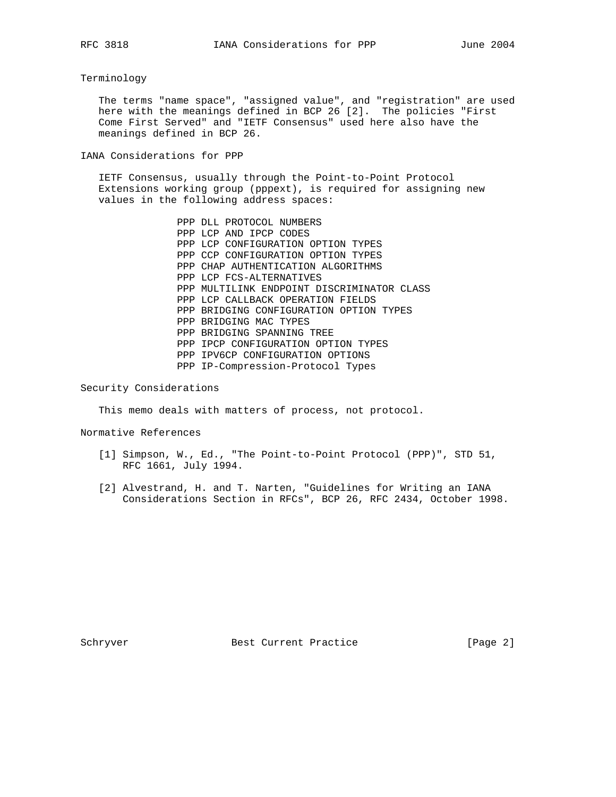## Terminology

 The terms "name space", "assigned value", and "registration" are used here with the meanings defined in BCP 26 [2]. The policies "First Come First Served" and "IETF Consensus" used here also have the meanings defined in BCP 26.

IANA Considerations for PPP

 IETF Consensus, usually through the Point-to-Point Protocol Extensions working group (pppext), is required for assigning new values in the following address spaces:

> PPP DLL PROTOCOL NUMBERS PPP LCP AND IPCP CODES PPP LCP CONFIGURATION OPTION TYPES PPP CCP CONFIGURATION OPTION TYPES PPP CHAP AUTHENTICATION ALGORITHMS PPP LCP FCS-ALTERNATIVES PPP MULTILINK ENDPOINT DISCRIMINATOR CLASS PPP LCP CALLBACK OPERATION FIELDS PPP BRIDGING CONFIGURATION OPTION TYPES PPP BRIDGING MAC TYPES PPP BRIDGING SPANNING TREE PPP IPCP CONFIGURATION OPTION TYPES PPP IPV6CP CONFIGURATION OPTIONS PPP IP-Compression-Protocol Types

Security Considerations

This memo deals with matters of process, not protocol.

Normative References

- [1] Simpson, W., Ed., "The Point-to-Point Protocol (PPP)", STD 51, RFC 1661, July 1994.
- [2] Alvestrand, H. and T. Narten, "Guidelines for Writing an IANA Considerations Section in RFCs", BCP 26, RFC 2434, October 1998.

Schryver Best Current Practice [Page 2]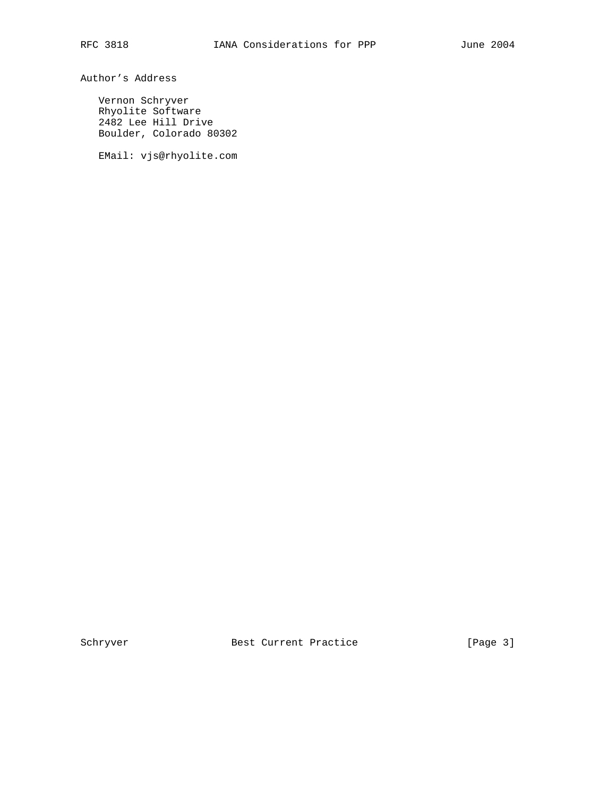Author's Address

 Vernon Schryver Rhyolite Software 2482 Lee Hill Drive Boulder, Colorado 80302

EMail: vjs@rhyolite.com

Schryver Best Current Practice [Page 3]